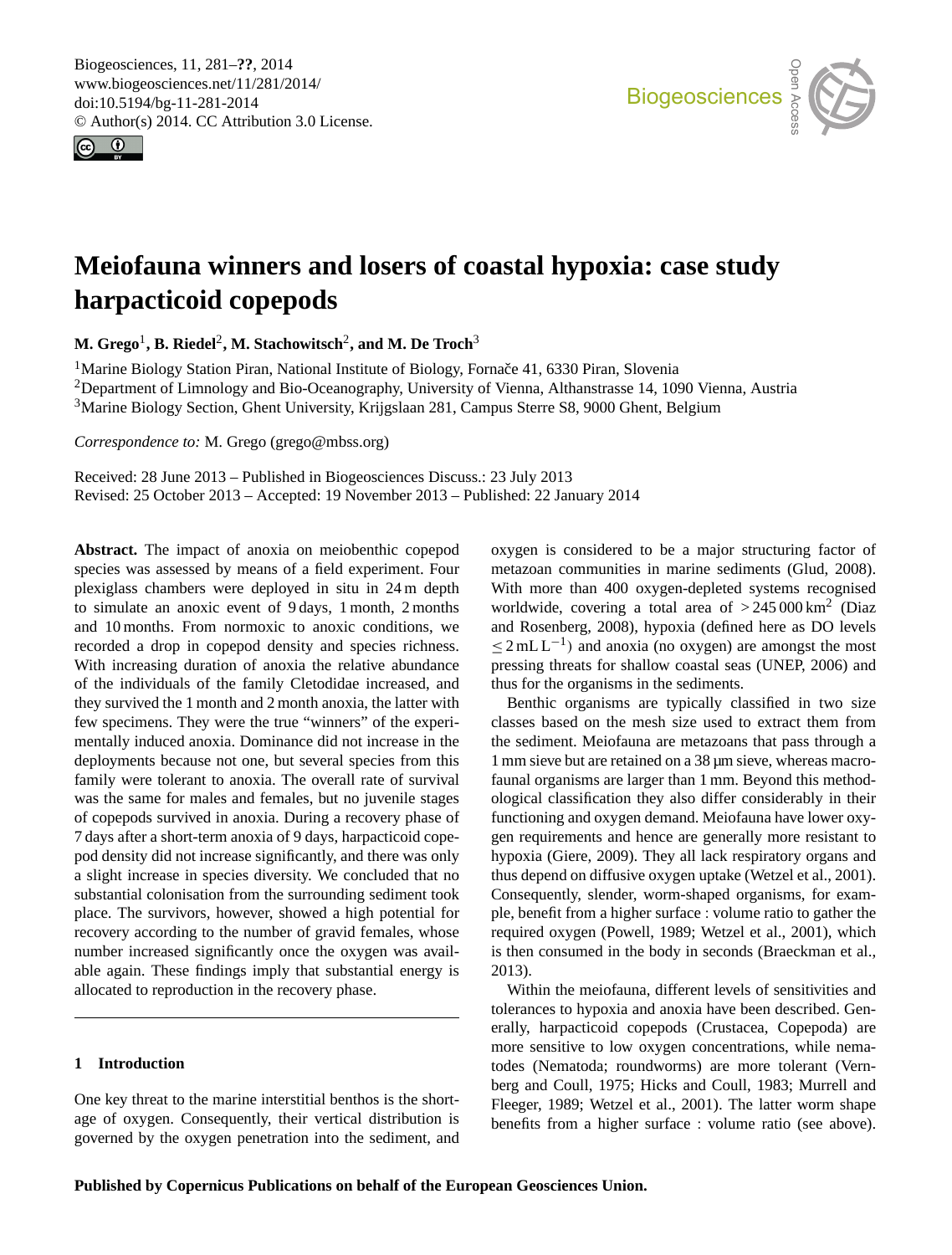Biogeosciences, 11, 281–**??**, 2014 www.biogeosciences.net/11/281/2014/ doi:10.5194/bg-11-281-2014 © Author(s) 2014. CC Attribution 3.0 License.





# **Meiofauna winners and losers of coastal hypoxia: case study harpacticoid copepods**

 $\mathbf{M}.$  Grego<sup>1</sup>, B. Riedel<sup>2</sup>, M. Stachowitsch<sup>2</sup>, and M. De Troch<sup>3</sup>

<sup>1</sup> Marine Biology Station Piran, National Institute of Biology, Fornace 41, 6330 Piran, Slovenia <sup>2</sup>Department of Limnology and Bio-Oceanography, University of Vienna, Althanstrasse 14, 1090 Vienna, Austria <sup>3</sup>Marine Biology Section, Ghent University, Krijgslaan 281, Campus Sterre S8, 9000 Ghent, Belgium

*Correspondence to:* M. Grego (grego@mbss.org)

Received: 28 June 2013 – Published in Biogeosciences Discuss.: 23 July 2013 Revised: 25 October 2013 – Accepted: 19 November 2013 – Published: 22 January 2014

**Abstract.** The impact of anoxia on meiobenthic copepod species was assessed by means of a field experiment. Four plexiglass chambers were deployed in situ in 24 m depth to simulate an anoxic event of 9 days, 1 month, 2 months and 10 months. From normoxic to anoxic conditions, we recorded a drop in copepod density and species richness. With increasing duration of anoxia the relative abundance of the individuals of the family Cletodidae increased, and they survived the 1 month and 2 month anoxia, the latter with few specimens. They were the true "winners" of the experimentally induced anoxia. Dominance did not increase in the deployments because not one, but several species from this family were tolerant to anoxia. The overall rate of survival was the same for males and females, but no juvenile stages of copepods survived in anoxia. During a recovery phase of 7 days after a short-term anoxia of 9 days, harpacticoid copepod density did not increase significantly, and there was only a slight increase in species diversity. We concluded that no substantial colonisation from the surrounding sediment took place. The survivors, however, showed a high potential for recovery according to the number of gravid females, whose number increased significantly once the oxygen was available again. These findings imply that substantial energy is allocated to reproduction in the recovery phase.

# **1 Introduction**

One key threat to the marine interstitial benthos is the shortage of oxygen. Consequently, their vertical distribution is governed by the oxygen penetration into the sediment, and oxygen is considered to be a major structuring factor of metazoan communities in marine sediments (Glud, 2008). With more than 400 oxygen-depleted systems recognised worldwide, covering a total area of  $>245000 \text{ km}^2$  (Diaz and Rosenberg, 2008), hypoxia (defined here as DO levels  $\leq$  2 mL L<sup>-1</sup>) and anoxia (no oxygen) are amongst the most pressing threats for shallow coastal seas (UNEP, 2006) and thus for the organisms in the sediments.

Benthic organisms are typically classified in two size classes based on the mesh size used to extract them from the sediment. Meiofauna are metazoans that pass through a 1 mm sieve but are retained on a 38 µm sieve, whereas macrofaunal organisms are larger than 1 mm. Beyond this methodological classification they also differ considerably in their functioning and oxygen demand. Meiofauna have lower oxygen requirements and hence are generally more resistant to hypoxia (Giere, 2009). They all lack respiratory organs and thus depend on diffusive oxygen uptake (Wetzel et al., 2001). Consequently, slender, worm-shaped organisms, for example, benefit from a higher surface : volume ratio to gather the required oxygen (Powell, 1989; Wetzel et al., 2001), which is then consumed in the body in seconds (Braeckman et al., 2013).

Within the meiofauna, different levels of sensitivities and tolerances to hypoxia and anoxia have been described. Generally, harpacticoid copepods (Crustacea, Copepoda) are more sensitive to low oxygen concentrations, while nematodes (Nematoda; roundworms) are more tolerant (Vernberg and Coull, 1975; Hicks and Coull, 1983; Murrell and Fleeger, 1989; Wetzel et al., 2001). The latter worm shape benefits from a higher surface : volume ratio (see above).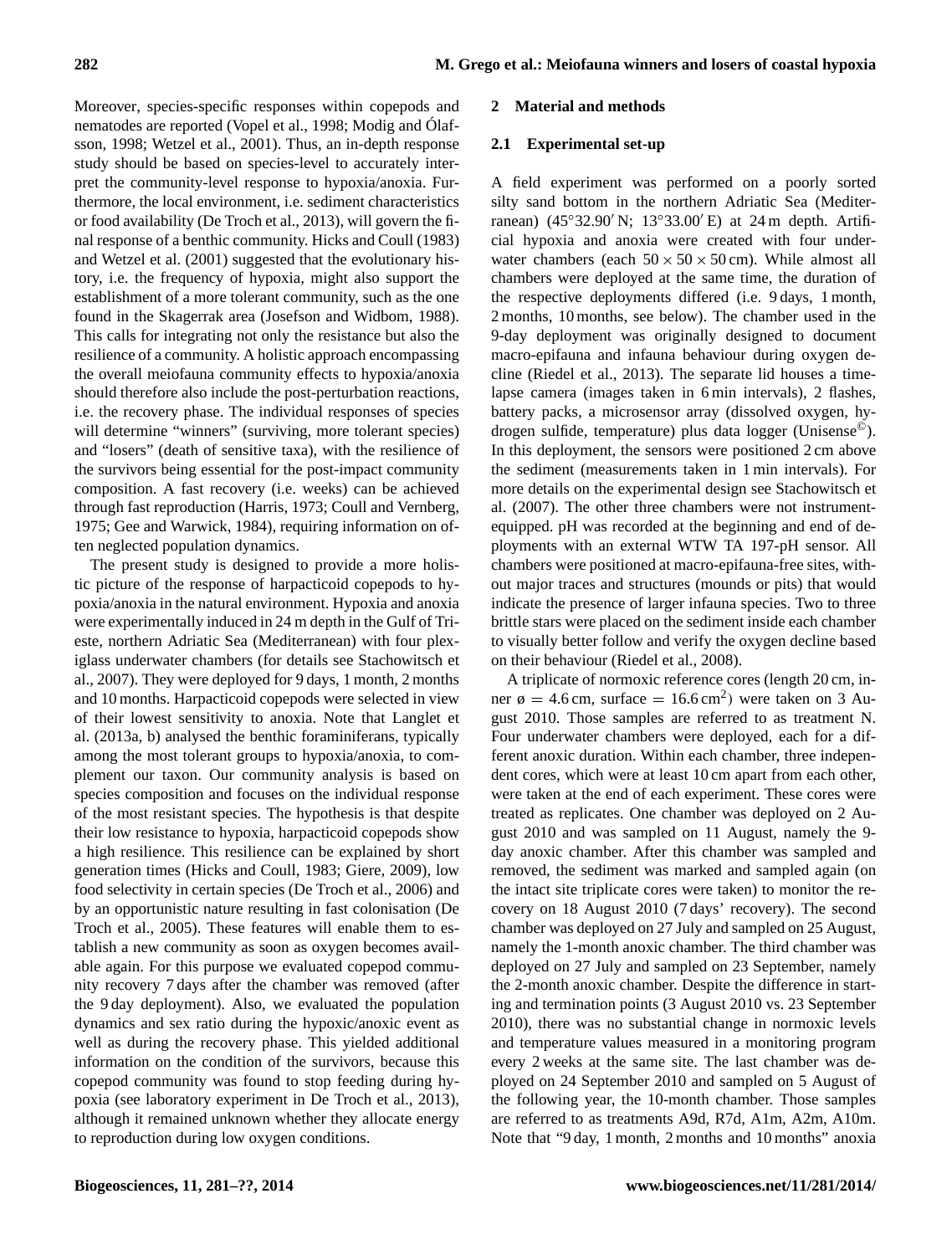Moreover, species-specific responses within copepods and nematodes are reported (Vopel et al., 1998; Modig and Ólafsson, 1998; Wetzel et al., 2001). Thus, an in-depth response study should be based on species-level to accurately interpret the community-level response to hypoxia/anoxia. Furthermore, the local environment, i.e. sediment characteristics or food availability (De Troch et al., 2013), will govern the final response of a benthic community. Hicks and Coull (1983) and Wetzel et al. (2001) suggested that the evolutionary history, i.e. the frequency of hypoxia, might also support the establishment of a more tolerant community, such as the one found in the Skagerrak area (Josefson and Widbom, 1988). This calls for integrating not only the resistance but also the resilience of a community. A holistic approach encompassing the overall meiofauna community effects to hypoxia/anoxia should therefore also include the post-perturbation reactions, i.e. the recovery phase. The individual responses of species will determine "winners" (surviving, more tolerant species) and "losers" (death of sensitive taxa), with the resilience of the survivors being essential for the post-impact community composition. A fast recovery (i.e. weeks) can be achieved through fast reproduction (Harris, 1973; Coull and Vernberg, 1975; Gee and Warwick, 1984), requiring information on often neglected population dynamics.

The present study is designed to provide a more holistic picture of the response of harpacticoid copepods to hypoxia/anoxia in the natural environment. Hypoxia and anoxia were experimentally induced in 24 m depth in the Gulf of Trieste, northern Adriatic Sea (Mediterranean) with four plexiglass underwater chambers (for details see Stachowitsch et al., 2007). They were deployed for 9 days, 1 month, 2 months and 10 months. Harpacticoid copepods were selected in view of their lowest sensitivity to anoxia. Note that Langlet et al. (2013a, b) analysed the benthic foraminiferans, typically among the most tolerant groups to hypoxia/anoxia, to complement our taxon. Our community analysis is based on species composition and focuses on the individual response of the most resistant species. The hypothesis is that despite their low resistance to hypoxia, harpacticoid copepods show a high resilience. This resilience can be explained by short generation times (Hicks and Coull, 1983; Giere, 2009), low food selectivity in certain species (De Troch et al., 2006) and by an opportunistic nature resulting in fast colonisation (De Troch et al., 2005). These features will enable them to establish a new community as soon as oxygen becomes available again. For this purpose we evaluated copepod community recovery 7 days after the chamber was removed (after the 9 day deployment). Also, we evaluated the population dynamics and sex ratio during the hypoxic/anoxic event as well as during the recovery phase. This yielded additional information on the condition of the survivors, because this copepod community was found to stop feeding during hypoxia (see laboratory experiment in De Troch et al., 2013), although it remained unknown whether they allocate energy to reproduction during low oxygen conditions.

# **2 Material and methods**

# **2.1 Experimental set-up**

A field experiment was performed on a poorly sorted silty sand bottom in the northern Adriatic Sea (Mediterranean) (45°32.90′ N; 13°33.00′ E) at 24 m depth. Artificial hypoxia and anoxia were created with four underwater chambers (each  $50 \times 50 \times 50$  cm). While almost all chambers were deployed at the same time, the duration of the respective deployments differed (i.e. 9 days, 1 month, 2 months, 10 months, see below). The chamber used in the 9-day deployment was originally designed to document macro-epifauna and infauna behaviour during oxygen decline (Riedel et al., 2013). The separate lid houses a timelapse camera (images taken in 6 min intervals), 2 flashes, battery packs, a microsensor array (dissolved oxygen, hydrogen sulfide, temperature) plus data logger (Unisense©). In this deployment, the sensors were positioned 2 cm above the sediment (measurements taken in 1 min intervals). For more details on the experimental design see Stachowitsch et al. (2007). The other three chambers were not instrumentequipped. pH was recorded at the beginning and end of deployments with an external WTW TA 197-pH sensor. All chambers were positioned at macro-epifauna-free sites, without major traces and structures (mounds or pits) that would indicate the presence of larger infauna species. Two to three brittle stars were placed on the sediment inside each chamber to visually better follow and verify the oxygen decline based on their behaviour (Riedel et al., 2008).

A triplicate of normoxic reference cores (length 20 cm, inner  $\phi = 4.6$  cm, surface = 16.6 cm<sup>2</sup>) were taken on 3 August 2010. Those samples are referred to as treatment N. Four underwater chambers were deployed, each for a different anoxic duration. Within each chamber, three independent cores, which were at least 10 cm apart from each other, were taken at the end of each experiment. These cores were treated as replicates. One chamber was deployed on 2 August 2010 and was sampled on 11 August, namely the 9 day anoxic chamber. After this chamber was sampled and removed, the sediment was marked and sampled again (on the intact site triplicate cores were taken) to monitor the recovery on 18 August 2010 (7 days' recovery). The second chamber was deployed on 27 July and sampled on 25 August, namely the 1-month anoxic chamber. The third chamber was deployed on 27 July and sampled on 23 September, namely the 2-month anoxic chamber. Despite the difference in starting and termination points (3 August 2010 vs. 23 September 2010), there was no substantial change in normoxic levels and temperature values measured in a monitoring program every 2 weeks at the same site. The last chamber was deployed on 24 September 2010 and sampled on 5 August of the following year, the 10-month chamber. Those samples are referred to as treatments A9d, R7d, A1m, A2m, A10m. Note that "9 day, 1 month, 2 months and 10 months" anoxia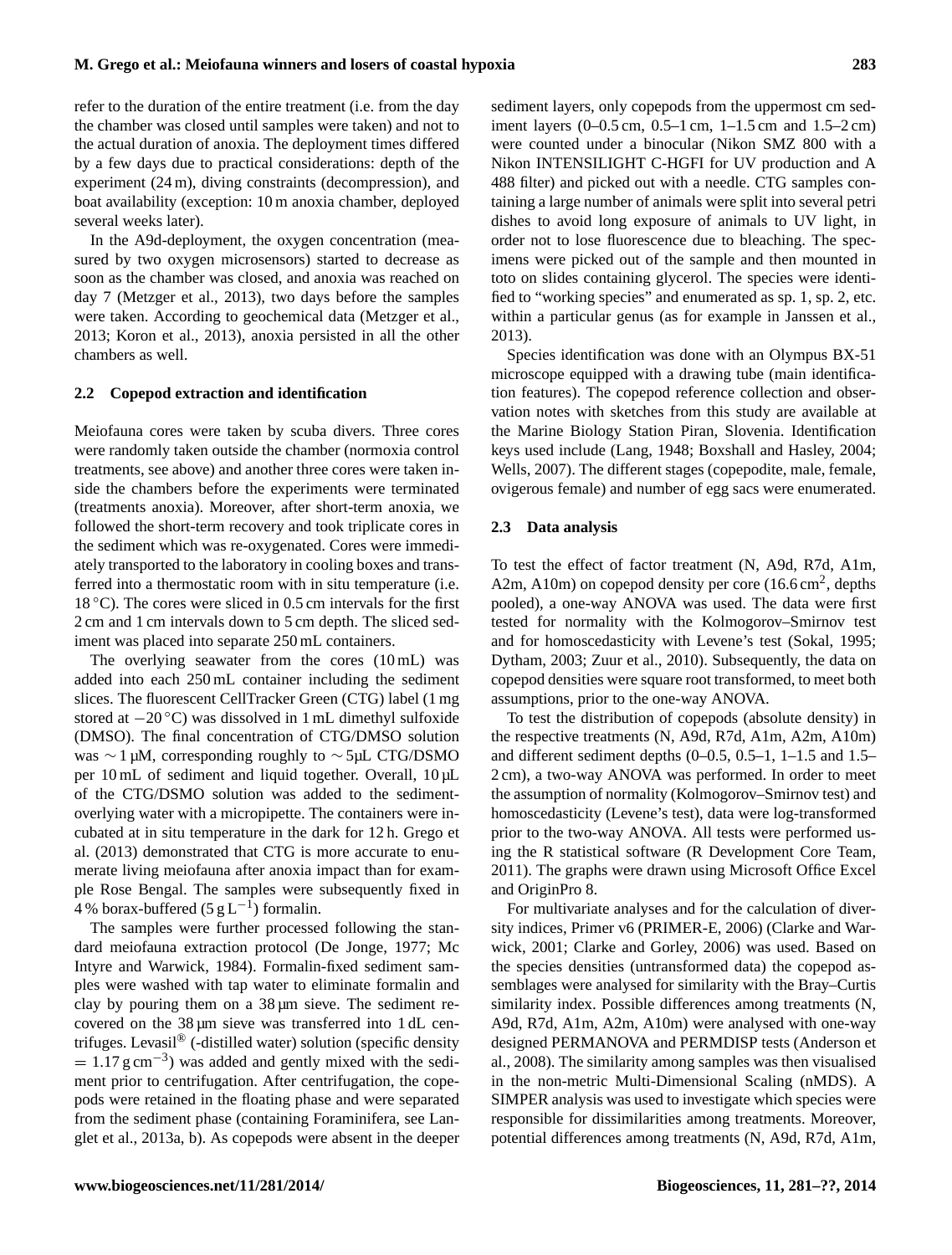refer to the duration of the entire treatment (i.e. from the day the chamber was closed until samples were taken) and not to the actual duration of anoxia. The deployment times differed by a few days due to practical considerations: depth of the experiment (24 m), diving constraints (decompression), and boat availability (exception: 10 m anoxia chamber, deployed several weeks later).

In the A9d-deployment, the oxygen concentration (measured by two oxygen microsensors) started to decrease as soon as the chamber was closed, and anoxia was reached on day 7 (Metzger et al., 2013), two days before the samples were taken. According to geochemical data (Metzger et al., 2013; Koron et al., 2013), anoxia persisted in all the other chambers as well.

# **2.2 Copepod extraction and identification**

Meiofauna cores were taken by scuba divers. Three cores were randomly taken outside the chamber (normoxia control treatments, see above) and another three cores were taken inside the chambers before the experiments were terminated (treatments anoxia). Moreover, after short-term anoxia, we followed the short-term recovery and took triplicate cores in the sediment which was re-oxygenated. Cores were immediately transported to the laboratory in cooling boxes and transferred into a thermostatic room with in situ temperature (i.e.  $18\textdegree$ C). The cores were sliced in 0.5 cm intervals for the first 2 cm and 1 cm intervals down to 5 cm depth. The sliced sediment was placed into separate 250 mL containers.

The overlying seawater from the cores  $(10 \text{ mL})$  was added into each 250 mL container including the sediment slices. The fluorescent CellTracker Green (CTG) label (1 mg stored at −20 ◦C) was dissolved in 1 mL dimethyl sulfoxide (DMSO). The final concentration of CTG/DMSO solution was ∼ 1 µM, corresponding roughly to ∼ 5µL CTG/DSMO per 10 mL of sediment and liquid together. Overall, 10 µL of the CTG/DSMO solution was added to the sedimentoverlying water with a micropipette. The containers were incubated at in situ temperature in the dark for 12 h. Grego et al. (2013) demonstrated that CTG is more accurate to enumerate living meiofauna after anoxia impact than for example Rose Bengal. The samples were subsequently fixed in 4 % borax-buffered (5  $g L^{-1}$ ) formalin.

The samples were further processed following the standard meiofauna extraction protocol (De Jonge, 1977; Mc Intyre and Warwick, 1984). Formalin-fixed sediment samples were washed with tap water to eliminate formalin and clay by pouring them on a  $38 \mu m$  sieve. The sediment recovered on the 38  $\mu$ m sieve was transferred into 1 dL centrifuges. Levasil® (-distilled water) solution (specific density  $= 1.17$  g cm<sup>-3</sup>) was added and gently mixed with the sediment prior to centrifugation. After centrifugation, the copepods were retained in the floating phase and were separated from the sediment phase (containing Foraminifera, see Langlet et al., 2013a, b). As copepods were absent in the deeper sediment layers, only copepods from the uppermost cm sediment layers (0–0.5 cm, 0.5–1 cm, 1–1.5 cm and 1.5–2 cm) were counted under a binocular (Nikon SMZ 800 with a Nikon INTENSILIGHT C-HGFI for UV production and A 488 filter) and picked out with a needle. CTG samples containing a large number of animals were split into several petri dishes to avoid long exposure of animals to UV light, in order not to lose fluorescence due to bleaching. The specimens were picked out of the sample and then mounted in toto on slides containing glycerol. The species were identified to "working species" and enumerated as sp. 1, sp. 2, etc. within a particular genus (as for example in Janssen et al., 2013).

Species identification was done with an Olympus BX-51 microscope equipped with a drawing tube (main identification features). The copepod reference collection and observation notes with sketches from this study are available at the Marine Biology Station Piran, Slovenia. Identification keys used include (Lang, 1948; Boxshall and Hasley, 2004; Wells, 2007). The different stages (copepodite, male, female, ovigerous female) and number of egg sacs were enumerated.

# **2.3 Data analysis**

To test the effect of factor treatment (N, A9d, R7d, A1m, A2m, A10m) on copepod density per core  $(16.6 \text{ cm}^2, \text{depths})$ pooled), a one-way ANOVA was used. The data were first tested for normality with the Kolmogorov–Smirnov test and for homoscedasticity with Levene's test (Sokal, 1995; Dytham, 2003; Zuur et al., 2010). Subsequently, the data on copepod densities were square root transformed, to meet both assumptions, prior to the one-way ANOVA.

To test the distribution of copepods (absolute density) in the respective treatments (N, A9d, R7d, A1m, A2m, A10m) and different sediment depths  $(0-0.5, 0.5-1, 1-1.5, 1.5-1, 1.5-1, 1.5-1, 1.5-1, 1.5-1, 1.5-1, 1.5-1, 1.5-1, 1.5-1, 1.5-1, 1.5-1, 1.5-1, 1.5-1, 1.5-1, 1.5-1, 1.5-1, 1.5-1, 1.5-1, 1.5-1, 1.5-1, 1.5-1, 1.5-1, 1.5-1, 1.5-1,$ 2 cm), a two-way ANOVA was performed. In order to meet the assumption of normality (Kolmogorov–Smirnov test) and homoscedasticity (Levene's test), data were log-transformed prior to the two-way ANOVA. All tests were performed using the R statistical software (R Development Core Team, 2011). The graphs were drawn using Microsoft Office Excel and OriginPro 8.

For multivariate analyses and for the calculation of diversity indices, Primer v6 (PRIMER-E, 2006) (Clarke and Warwick, 2001; Clarke and Gorley, 2006) was used. Based on the species densities (untransformed data) the copepod assemblages were analysed for similarity with the Bray–Curtis similarity index. Possible differences among treatments (N, A9d, R7d, A1m, A2m, A10m) were analysed with one-way designed PERMANOVA and PERMDISP tests (Anderson et al., 2008). The similarity among samples was then visualised in the non-metric Multi-Dimensional Scaling (nMDS). A SIMPER analysis was used to investigate which species were responsible for dissimilarities among treatments. Moreover, potential differences among treatments (N, A9d, R7d, A1m,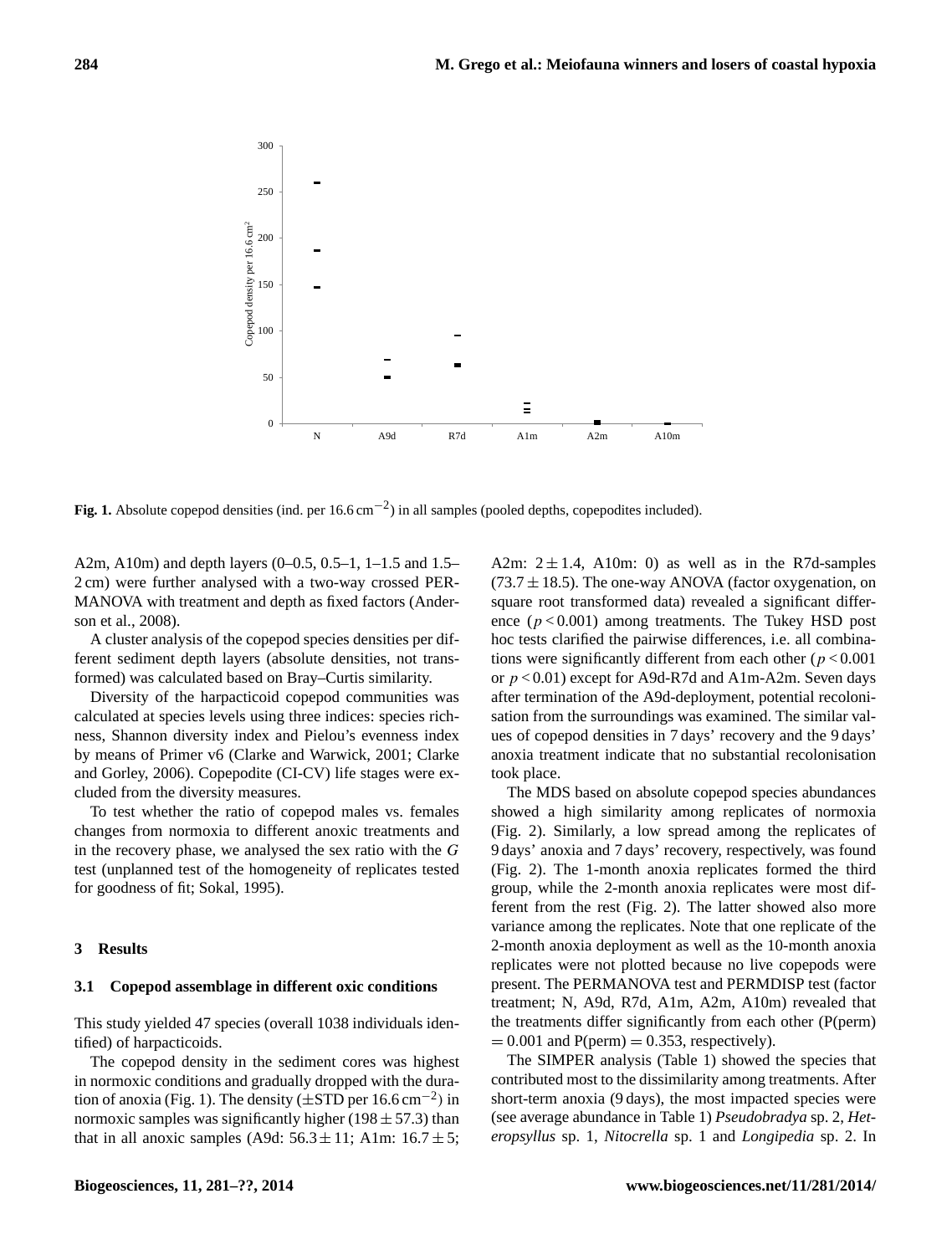

**Fig. 1.** Absolute copepod densities (ind. per 16.6 cm−<sup>2</sup> ) in all samples (pooled depths, copepodites included).

A2m, A10m) and depth layers (0–0.5, 0.5–1, 1–1.5 and 1.5– 2 cm) were further analysed with a two-way crossed PER-MANOVA with treatment and depth as fixed factors (Anderson et al., 2008).

A cluster analysis of the copepod species densities per different sediment depth layers (absolute densities, not transformed) was calculated based on Bray–Curtis similarity.

Diversity of the harpacticoid copepod communities was calculated at species levels using three indices: species richness, Shannon diversity index and Pielou's evenness index by means of Primer v6 (Clarke and Warwick, 2001; Clarke and Gorley, 2006). Copepodite (CI-CV) life stages were excluded from the diversity measures.

To test whether the ratio of copepod males vs. females changes from normoxia to different anoxic treatments and in the recovery phase, we analysed the sex ratio with the G test (unplanned test of the homogeneity of replicates tested for goodness of fit; Sokal, 1995).

#### **3 Results**

#### **3.1 Copepod assemblage in different oxic conditions**

This study yielded 47 species (overall 1038 individuals identified) of harpacticoids.

The copepod density in the sediment cores was highest in normoxic conditions and gradually dropped with the duration of anoxia (Fig. 1). The density  $(\pm STD)$  per 16.6 cm<sup>-2</sup>) in normoxic samples was significantly higher (198  $\pm$  57.3) than that in all anoxic samples (A9d:  $56.3 \pm 11$ ; A1m:  $16.7 \pm 5$ ; A2m:  $2 \pm 1.4$ , A10m: 0) as well as in the R7d-samples  $(73.7 \pm 18.5)$ . The one-way ANOVA (factor oxygenation, on square root transformed data) revealed a significant difference  $(p < 0.001)$  among treatments. The Tukey HSD post hoc tests clarified the pairwise differences, i.e. all combinations were significantly different from each other ( $p < 0.001$ ) or  $p < 0.01$ ) except for A9d-R7d and A1m-A2m. Seven days after termination of the A9d-deployment, potential recolonisation from the surroundings was examined. The similar values of copepod densities in 7 days' recovery and the 9 days' anoxia treatment indicate that no substantial recolonisation took place.

The MDS based on absolute copepod species abundances showed a high similarity among replicates of normoxia (Fig. 2). Similarly, a low spread among the replicates of 9 days' anoxia and 7 days' recovery, respectively, was found (Fig. 2). The 1-month anoxia replicates formed the third group, while the 2-month anoxia replicates were most different from the rest (Fig. 2). The latter showed also more variance among the replicates. Note that one replicate of the 2-month anoxia deployment as well as the 10-month anoxia replicates were not plotted because no live copepods were present. The PERMANOVA test and PERMDISP test (factor treatment; N, A9d, R7d, A1m, A2m, A10m) revealed that the treatments differ significantly from each other (P(perm)  $= 0.001$  and  $P(perm) = 0.353$ , respectively).

The SIMPER analysis (Table 1) showed the species that contributed most to the dissimilarity among treatments. After short-term anoxia (9 days), the most impacted species were (see average abundance in Table 1) *Pseudobradya* sp. 2, *Heteropsyllus* sp. 1, *Nitocrella* sp. 1 and *Longipedia* sp. 2. In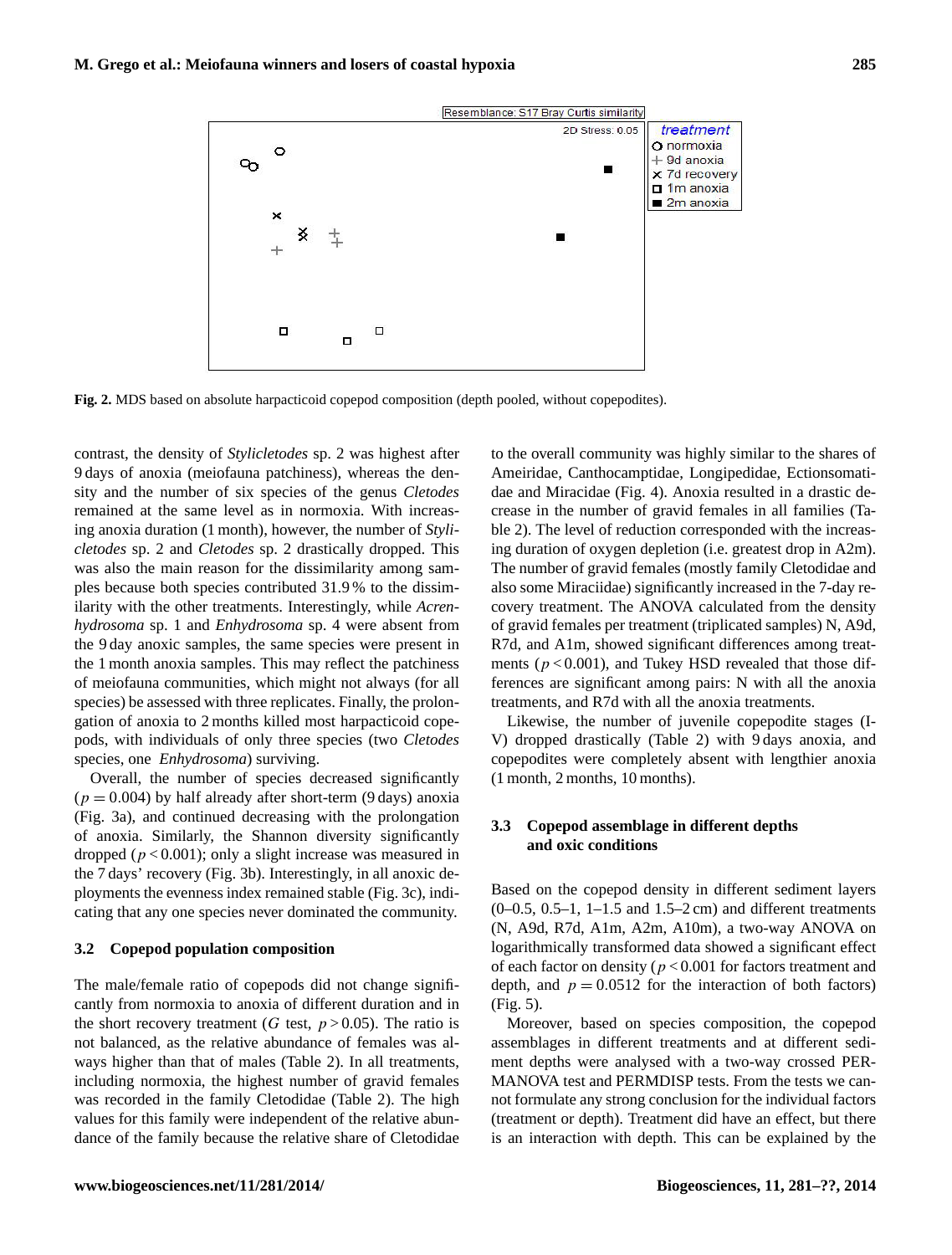

**Fig. 2.** MDS based on absolute harpacticoid copepod composition (depth pooled, without copepodites).

contrast, the density of *Stylicletodes* sp. 2 was highest after 9 days of anoxia (meiofauna patchiness), whereas the density and the number of six species of the genus *Cletodes* remained at the same level as in normoxia. With increasing anoxia duration (1 month), however, the number of *Stylicletodes* sp. 2 and *Cletodes* sp. 2 drastically dropped. This was also the main reason for the dissimilarity among samples because both species contributed 31.9 % to the dissimilarity with the other treatments. Interestingly, while *Acrenhydrosoma* sp. 1 and *Enhydrosoma* sp. 4 were absent from the 9 day anoxic samples, the same species were present in the 1 month anoxia samples. This may reflect the patchiness of meiofauna communities, which might not always (for all species) be assessed with three replicates. Finally, the prolongation of anoxia to 2 months killed most harpacticoid copepods, with individuals of only three species (two *Cletodes* species, one *Enhydrosoma*) surviving.

Overall, the number of species decreased significantly  $(p = 0.004)$  by half already after short-term (9 days) anoxia (Fig. 3a), and continued decreasing with the prolongation of anoxia. Similarly, the Shannon diversity significantly dropped ( $p < 0.001$ ); only a slight increase was measured in the 7 days' recovery (Fig. 3b). Interestingly, in all anoxic deployments the evenness index remained stable (Fig. 3c), indicating that any one species never dominated the community.

#### **3.2 Copepod population composition**

The male/female ratio of copepods did not change significantly from normoxia to anoxia of different duration and in the short recovery treatment (G test,  $p > 0.05$ ). The ratio is not balanced, as the relative abundance of females was always higher than that of males (Table 2). In all treatments, including normoxia, the highest number of gravid females was recorded in the family Cletodidae (Table 2). The high values for this family were independent of the relative abundance of the family because the relative share of Cletodidae to the overall community was highly similar to the shares of Ameiridae, Canthocamptidae, Longipedidae, Ectionsomatidae and Miracidae (Fig. 4). Anoxia resulted in a drastic decrease in the number of gravid females in all families (Table 2). The level of reduction corresponded with the increasing duration of oxygen depletion (i.e. greatest drop in A2m). The number of gravid females (mostly family Cletodidae and also some Miraciidae) significantly increased in the 7-day recovery treatment. The ANOVA calculated from the density of gravid females per treatment (triplicated samples) N, A9d, R7d, and A1m, showed significant differences among treatments ( $p < 0.001$ ), and Tukey HSD revealed that those differences are significant among pairs: N with all the anoxia treatments, and R7d with all the anoxia treatments.

Likewise, the number of juvenile copepodite stages (I-V) dropped drastically (Table 2) with 9 days anoxia, and copepodites were completely absent with lengthier anoxia (1 month, 2 months, 10 months).

# **3.3 Copepod assemblage in different depths and oxic conditions**

Based on the copepod density in different sediment layers (0–0.5, 0.5–1, 1–1.5 and 1.5–2 cm) and different treatments (N, A9d, R7d, A1m, A2m, A10m), a two-way ANOVA on logarithmically transformed data showed a significant effect of each factor on density ( $p < 0.001$  for factors treatment and depth, and  $p = 0.0512$  for the interaction of both factors) (Fig. 5).

Moreover, based on species composition, the copepod assemblages in different treatments and at different sediment depths were analysed with a two-way crossed PER-MANOVA test and PERMDISP tests. From the tests we cannot formulate any strong conclusion for the individual factors (treatment or depth). Treatment did have an effect, but there is an interaction with depth. This can be explained by the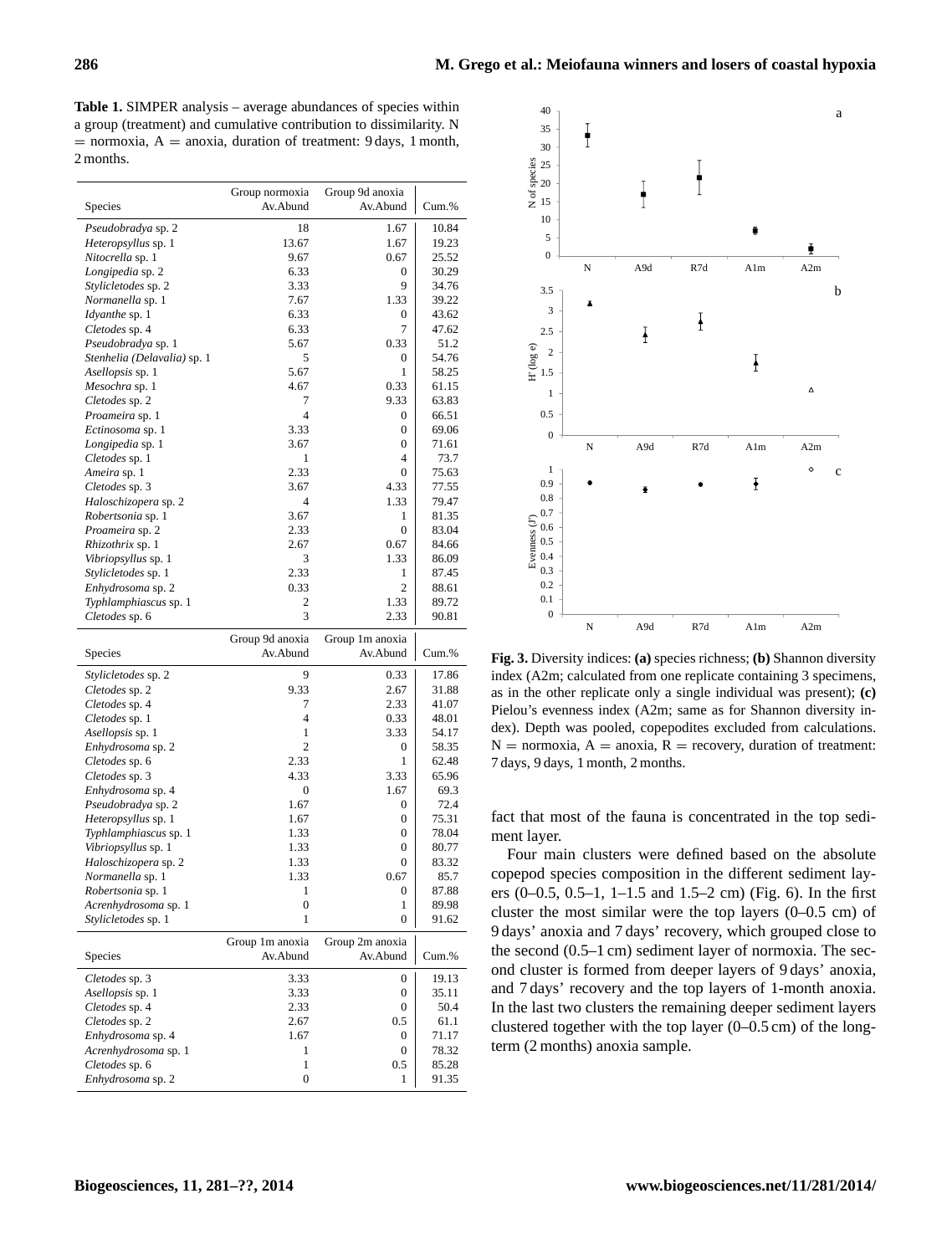**Table 1.** SIMPER analysis – average abundances of species within a group (treatment) and cumulative contribution to dissimilarity. N  $=$  normoxia,  $A =$  anoxia, duration of treatment: 9 days, 1 month, 2 months.

| Species                                 | Group normoxia<br>Av.Abund | Group 9d anoxia<br>Av.Abund | Cum.%          |
|-----------------------------------------|----------------------------|-----------------------------|----------------|
|                                         |                            |                             |                |
| Pseudobradya sp. 2                      | 18                         | 1.67                        | 10.84          |
| Heteropsyllus sp. 1                     | 13.67                      | 1.67                        | 19.23          |
| Nitocrella sp. 1                        | 9.67<br>6.33               | 0.67<br>0                   | 25.52<br>30.29 |
| Longipedia sp. 2<br>Stylicletodes sp. 2 | 3.33                       | 9                           | 34.76          |
| Normanella sp. 1                        | 7.67                       | 1.33                        | 39.22          |
| Idyanthe sp. 1                          | 6.33                       | 0                           | 43.62          |
| Cletodes sp. 4                          | 6.33                       | 7                           | 47.62          |
| Pseudobradya sp. 1                      | 5.67                       | 0.33                        | 51.2           |
| Stenhelia (Delavalia) sp. 1             | 5                          | 0                           | 54.76          |
| Asellopsis sp. 1                        | 5.67                       | 1                           | 58.25          |
| Mesochra sp. 1                          | 4.67                       | 0.33                        | 61.15          |
| Cletodes sp. 2                          | 7                          | 9.33                        | 63.83          |
| Proameira sp. 1                         | $\overline{4}$             | 0                           | 66.51          |
| Ectinosoma sp. 1                        | 3.33                       | 0                           | 69.06          |
| Longipedia sp. 1                        | 3.67                       | $\mathbf{0}$                | 71.61          |
| Cletodes sp. 1                          | 1                          | 4                           | 73.7           |
| Ameira sp. 1                            | 2.33                       | 0                           | 75.63          |
| Cletodes sp. 3                          | 3.67                       | 4.33                        | 77.55          |
| Haloschizopera sp. 2                    | $\overline{4}$<br>3.67     | 1.33<br>1                   | 79.47<br>81.35 |
| Robertsonia sp. 1<br>Proameira sp. 2    | 2.33                       | $\mathbf{0}$                | 83.04          |
| <i>Rhizothrix</i> sp. 1                 | 2.67                       | 0.67                        | 84.66          |
| Vibriopsyllus sp. 1                     | 3                          | 1.33                        | 86.09          |
| Stylicletodes sp. 1                     | 2.33                       | 1                           | 87.45          |
| Enhydrosoma sp. 2                       | 0.33                       | 2                           | 88.61          |
| Typhlamphiascus sp. 1                   | 2                          | 1.33                        | 89.72          |
| Cletodes sp. 6                          | 3                          | 2.33                        | 90.81          |
|                                         | Group 9d anoxia            | Group 1m anoxia             |                |
|                                         |                            |                             |                |
|                                         | Av.Abund                   |                             |                |
| Species                                 |                            | Av.Abund                    | Cum.%          |
| Stylicletodes sp. 2                     | 9                          | 0.33                        | 17.86          |
| Cletodes sp. 2                          | 9.33                       | 2.67                        | 31.88          |
| Cletodes sp. 4                          | 7                          | 2.33                        | 41.07          |
| Cletodes sp. 1                          | $\overline{4}$             | 0.33                        | 48.01          |
| Asellopsis sp. 1                        | 1<br>$\overline{c}$        | 3.33<br>0                   | 54.17<br>58.35 |
| Enhydrosoma sp. 2                       | 2.33                       | 1                           | 62.48          |
| Cletodes sp. 6<br>Cletodes sp. 3        | 4.33                       | 3.33                        | 65.96          |
| Enhydrosoma sp. 4                       | 0                          | 1.67                        | 69.3           |
| Pseudobradya sp. 2                      | 1.67                       | 0                           | 72.4           |
| Heteropsyllus sp. 1                     | 1.67                       | 0                           | 75.31          |
| Typhlamphiascus sp. 1                   | 1.33                       | 0                           | 78.04          |
| Vibriopsyllus sp. 1                     | 1.33                       | 0                           | 80.77          |
| Haloschizopera sp. 2                    | 1.33                       | $\Omega$                    | 83.32          |
| Normanella sp. 1                        | 1.33                       | 0.67                        | 85.7           |
| Robertsonia sp. 1                       | 1                          | $\theta$                    | 87.88          |
| Acrenhydrosoma sp. 1                    | 0                          | 1                           | 89.98          |
| Stylicletodes sp. 1                     | 1                          | $\boldsymbol{0}$            | 91.62          |
|                                         | Group 1m anoxia            | Group 2m anoxia             |                |
| Species                                 | Av.Abund                   | Av.Abund                    | Cum.%          |
| Cletodes sp. 3                          | 3.33                       | 0                           | 19.13          |
| Asellopsis sp. 1                        | 3.33                       | 0                           | 35.11          |
| Cletodes sp. 4                          | 2.33                       | $\boldsymbol{0}$            | 50.4           |
| Cletodes sp. 2                          | 2.67                       | 0.5                         | 61.1           |
| Enhydrosoma sp. 4                       | 1.67                       | 0                           | 71.17          |
| Acrenhydrosoma sp. 1                    | 1                          | 0                           | 78.32          |
| Cletodes sp. 6<br>Enhydrosoma sp. 2     | 1<br>0                     | 0.5<br>1                    | 85.28<br>91.35 |



**Fig. 3.** Diversity indices: **(a)** species richness; **(b)** Shannon diversity index (A2m; calculated from one replicate containing 3 specimens, as in the other replicate only a single individual was present); **(c)** Pielou's evenness index (A2m; same as for Shannon diversity index). Depth was pooled, copepodites excluded from calculations.  $N =$  normoxia,  $A =$  anoxia,  $R =$  recovery, duration of treatment: 7 days, 9 days, 1 month, 2 months.

fact that most of the fauna is concentrated in the top sediment layer.

Four main clusters were defined based on the absolute copepod species composition in the different sediment layers (0–0.5, 0.5–1, 1–1.5 and 1.5–2 cm) (Fig. 6). In the first cluster the most similar were the top layers (0–0.5 cm) of 9 days' anoxia and 7 days' recovery, which grouped close to the second (0.5–1 cm) sediment layer of normoxia. The second cluster is formed from deeper layers of 9 days' anoxia, and 7 days' recovery and the top layers of 1-month anoxia. In the last two clusters the remaining deeper sediment layers clustered together with the top layer (0–0.5 cm) of the longterm (2 months) anoxia sample.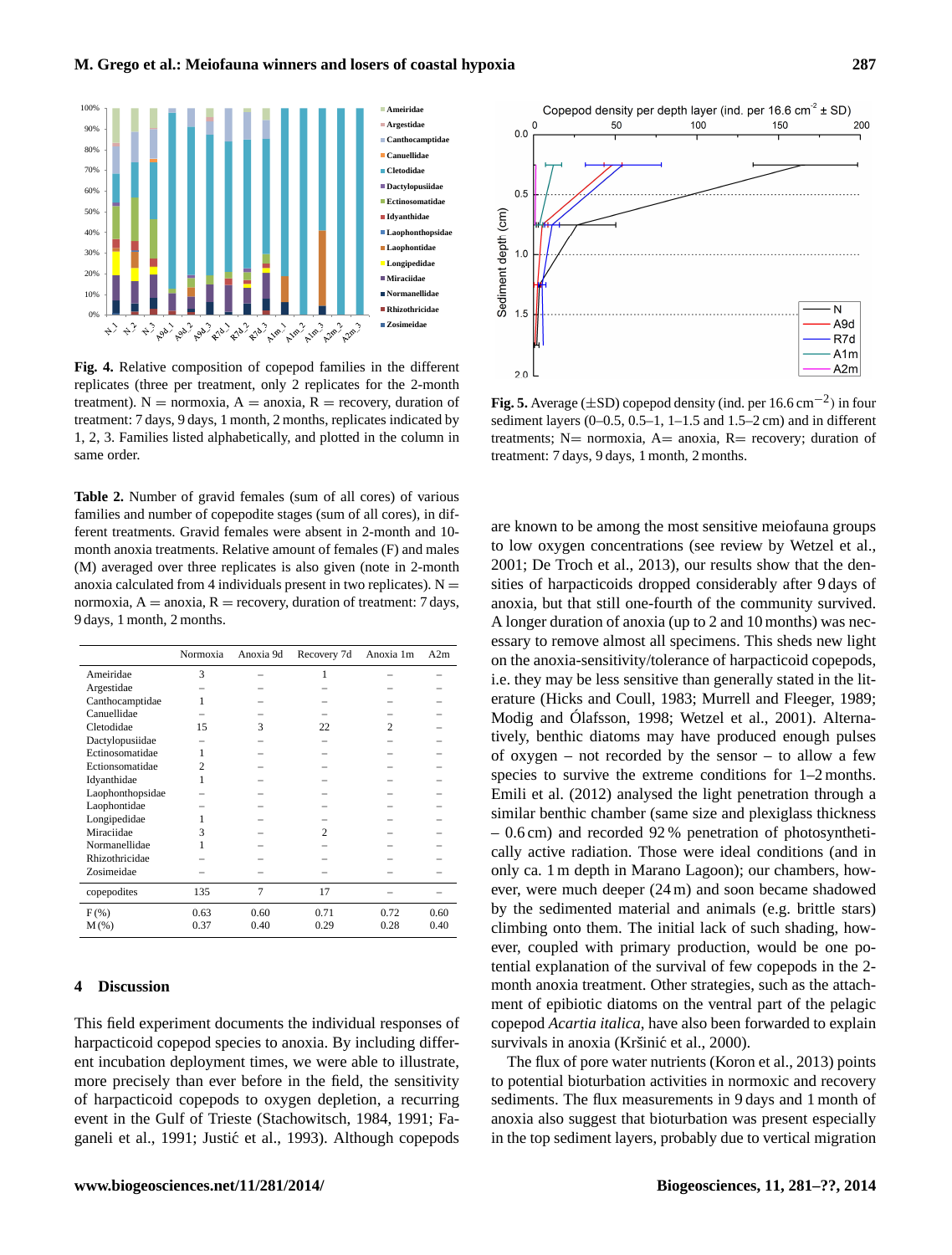

**Fig. 4.** Relative composition of copepod families in the different replicates (three per treatment, only 2 replicates for the 2-month treatment).  $N =$  normoxia,  $A =$  anoxia,  $R =$  recovery, duration of treatment: 7 days, 9 days, 1 month, 2 months, replicates indicated by 1, 2, 3. Families listed alphabetically, and plotted in the column in same order.

**Table 2.** Number of gravid females (sum of all cores) of various families and number of copepodite stages (sum of all cores), in different treatments. Gravid females were absent in 2-month and 10 month anoxia treatments. Relative amount of females (F) and males (M) averaged over three replicates is also given (note in 2-month anoxia calculated from 4 individuals present in two replicates).  $N =$ normoxia,  $A = a$ noxia,  $R =$  recovery, duration of treatment: 7 days, 9 days, 1 month, 2 months.

|                  | Normoxia       | Anoxia 9d | Recovery 7d | Anoxia 1m      | A2m  |
|------------------|----------------|-----------|-------------|----------------|------|
| Ameiridae        | 3              |           | 1           |                |      |
| Argestidae       |                |           |             |                |      |
| Canthocamptidae  | 1              |           |             |                |      |
| Canuellidae      |                |           |             |                |      |
| Cletodidae       | 15             | 3         | 22          | $\mathfrak{D}$ |      |
| Dactylopusiidae  |                |           |             |                |      |
| Ectinosomatidae  | 1              |           |             |                |      |
| Ectionsomatidae  | $\overline{c}$ |           |             |                |      |
| Idyanthidae      | 1              |           |             |                |      |
| Laophonthopsidae |                |           |             |                |      |
| Laophontidae     |                |           |             |                |      |
| Longipedidae     |                |           |             |                |      |
| Miraciidae       | 3              |           | 2           |                |      |
| Normanellidae    |                |           |             |                |      |
| Rhizothricidae   |                |           |             |                |      |
| Zosimeidae       |                |           |             |                |      |
| copepodites      | 135            | 7         | 17          |                |      |
| $F$ (%)          | 0.63           | 0.60      | 0.71        | 0.72           | 0.60 |
| $M(\%)$          | 0.37           | 0.40      | 0.29        | 0.28           | 0.40 |

#### **4 Discussion**

This field experiment documents the individual responses of harpacticoid copepod species to anoxia. By including different incubation deployment times, we were able to illustrate, more precisely than ever before in the field, the sensitivity of harpacticoid copepods to oxygen depletion, a recurring event in the Gulf of Trieste (Stachowitsch, 1984, 1991; Faganeli et al., 1991; Justić et al., 1993). Although copepods



**Fig. 5.** Average ( $\pm$ SD) copepod density (ind. per 16.6 cm<sup>-2</sup>) in four sediment layers  $(0-0.5, 0.5-1, 1-1.5, 1.5-2)$  cm and in different treatments;  $N=$  normoxia,  $A=$  anoxia,  $R=$  recovery; duration of treatment: 7 days, 9 days, 1 month, 2 months.

are known to be among the most sensitive meiofauna groups to low oxygen concentrations (see review by Wetzel et al., 2001; De Troch et al., 2013), our results show that the densities of harpacticoids dropped considerably after 9 days of anoxia, but that still one-fourth of the community survived. A longer duration of anoxia (up to 2 and 10 months) was necessary to remove almost all specimens. This sheds new light on the anoxia-sensitivity/tolerance of harpacticoid copepods, i.e. they may be less sensitive than generally stated in the literature (Hicks and Coull, 1983; Murrell and Fleeger, 1989; Modig and Ólafsson, 1998; Wetzel et al., 2001). Alternatively, benthic diatoms may have produced enough pulses of oxygen – not recorded by the sensor – to allow a few species to survive the extreme conditions for  $1-2$  months. Emili et al. (2012) analysed the light penetration through a similar benthic chamber (same size and plexiglass thickness – 0.6 cm) and recorded 92 % penetration of photosynthetically active radiation. Those were ideal conditions (and in only ca. 1 m depth in Marano Lagoon); our chambers, however, were much deeper (24 m) and soon became shadowed by the sedimented material and animals (e.g. brittle stars) climbing onto them. The initial lack of such shading, however, coupled with primary production, would be one potential explanation of the survival of few copepods in the 2 month anoxia treatment. Other strategies, such as the attachment of epibiotic diatoms on the ventral part of the pelagic copepod *Acartia italica*, have also been forwarded to explain survivals in anoxia (Kršinić et al., 2000).

The flux of pore water nutrients (Koron et al., 2013) points to potential bioturbation activities in normoxic and recovery sediments. The flux measurements in 9 days and 1 month of anoxia also suggest that bioturbation was present especially in the top sediment layers, probably due to vertical migration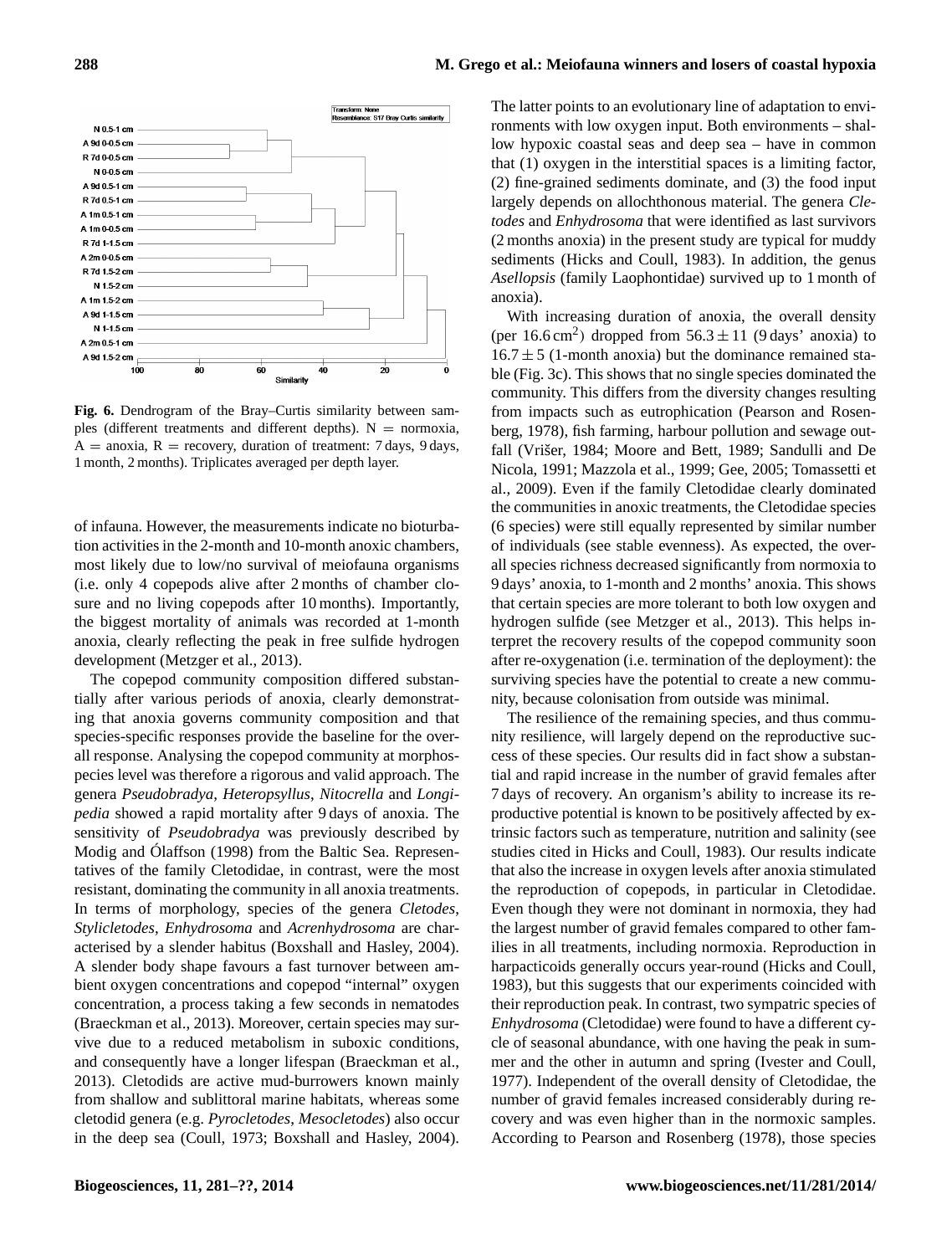

**Fig. 6.** Dendrogram of the Bray–Curtis similarity between samples (different treatments and different depths).  $N =$  normoxia,  $A = a\text{no}xia$ ,  $R = \text{recovery}$ , duration of treatment: 7 days, 9 days, 1 month, 2 months). Triplicates averaged per depth layer.

of infauna. However, the measurements indicate no bioturbation activities in the 2-month and 10-month anoxic chambers, most likely due to low/no survival of meiofauna organisms (i.e. only 4 copepods alive after 2 months of chamber closure and no living copepods after 10 months). Importantly, the biggest mortality of animals was recorded at 1-month anoxia, clearly reflecting the peak in free sulfide hydrogen development (Metzger et al., 2013).

The copepod community composition differed substantially after various periods of anoxia, clearly demonstrating that anoxia governs community composition and that species-specific responses provide the baseline for the overall response. Analysing the copepod community at morphospecies level was therefore a rigorous and valid approach. The genera *Pseudobradya*, *Heteropsyllus*, *Nitocrella* and *Longipedia* showed a rapid mortality after 9 days of anoxia. The sensitivity of *Pseudobradya* was previously described by Modig and Ólaffson (1998) from the Baltic Sea. Representatives of the family Cletodidae, in contrast, were the most resistant, dominating the community in all anoxia treatments. In terms of morphology, species of the genera *Cletodes*, *Stylicletodes*, *Enhydrosoma* and *Acrenhydrosoma* are characterised by a slender habitus (Boxshall and Hasley, 2004). A slender body shape favours a fast turnover between ambient oxygen concentrations and copepod "internal" oxygen concentration, a process taking a few seconds in nematodes (Braeckman et al., 2013). Moreover, certain species may survive due to a reduced metabolism in suboxic conditions, and consequently have a longer lifespan (Braeckman et al., 2013). Cletodids are active mud-burrowers known mainly from shallow and sublittoral marine habitats, whereas some cletodid genera (e.g. *Pyrocletodes*, *Mesocletodes*) also occur in the deep sea (Coull, 1973; Boxshall and Hasley, 2004).

The latter points to an evolutionary line of adaptation to environments with low oxygen input. Both environments – shallow hypoxic coastal seas and deep sea – have in common that (1) oxygen in the interstitial spaces is a limiting factor, (2) fine-grained sediments dominate, and (3) the food input largely depends on allochthonous material. The genera *Cletodes* and *Enhydrosoma* that were identified as last survivors (2 months anoxia) in the present study are typical for muddy sediments (Hicks and Coull, 1983). In addition, the genus *Asellopsis* (family Laophontidae) survived up to 1 month of anoxia).

With increasing duration of anoxia, the overall density (per  $16.6 \text{ cm}^2$ ) dropped from  $56.3 \pm 11$  (9 days' anoxia) to  $16.7 \pm 5$  (1-month anoxia) but the dominance remained stable (Fig. 3c). This shows that no single species dominated the community. This differs from the diversity changes resulting from impacts such as eutrophication (Pearson and Rosenberg, 1978), fish farming, harbour pollution and sewage outfall (Vrišer, 1984; Moore and Bett, 1989; Sandulli and De Nicola, 1991; Mazzola et al., 1999; Gee, 2005; Tomassetti et al., 2009). Even if the family Cletodidae clearly dominated the communities in anoxic treatments, the Cletodidae species (6 species) were still equally represented by similar number of individuals (see stable evenness). As expected, the overall species richness decreased significantly from normoxia to 9 days' anoxia, to 1-month and 2 months' anoxia. This shows that certain species are more tolerant to both low oxygen and hydrogen sulfide (see Metzger et al., 2013). This helps interpret the recovery results of the copepod community soon after re-oxygenation (i.e. termination of the deployment): the surviving species have the potential to create a new community, because colonisation from outside was minimal.

The resilience of the remaining species, and thus community resilience, will largely depend on the reproductive success of these species. Our results did in fact show a substantial and rapid increase in the number of gravid females after 7 days of recovery. An organism's ability to increase its reproductive potential is known to be positively affected by extrinsic factors such as temperature, nutrition and salinity (see studies cited in Hicks and Coull, 1983). Our results indicate that also the increase in oxygen levels after anoxia stimulated the reproduction of copepods, in particular in Cletodidae. Even though they were not dominant in normoxia, they had the largest number of gravid females compared to other families in all treatments, including normoxia. Reproduction in harpacticoids generally occurs year-round (Hicks and Coull, 1983), but this suggests that our experiments coincided with their reproduction peak. In contrast, two sympatric species of *Enhydrosoma* (Cletodidae) were found to have a different cycle of seasonal abundance, with one having the peak in summer and the other in autumn and spring (Ivester and Coull, 1977). Independent of the overall density of Cletodidae, the number of gravid females increased considerably during recovery and was even higher than in the normoxic samples. According to Pearson and Rosenberg (1978), those species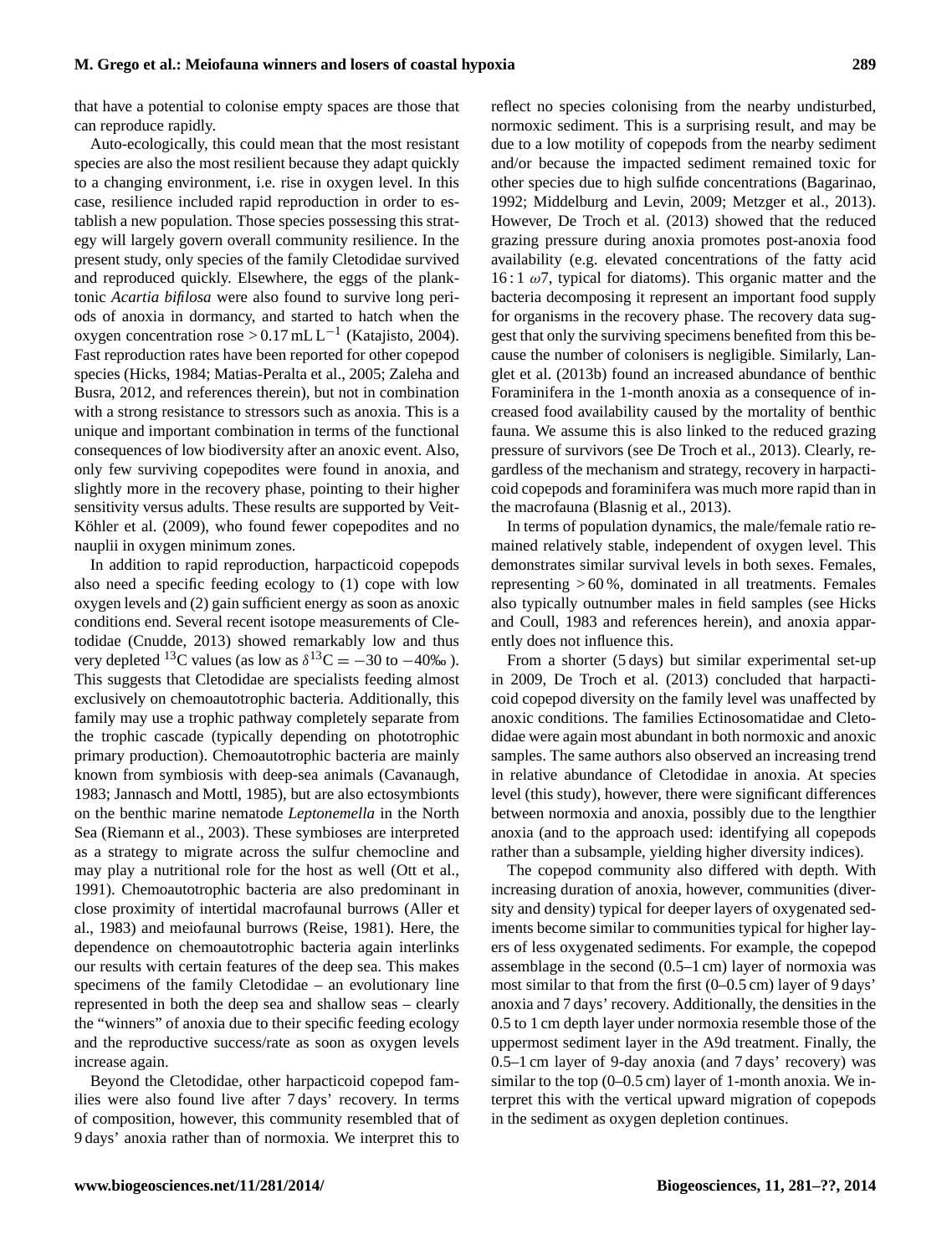that have a potential to colonise empty spaces are those that can reproduce rapidly.

Auto-ecologically, this could mean that the most resistant species are also the most resilient because they adapt quickly to a changing environment, i.e. rise in oxygen level. In this case, resilience included rapid reproduction in order to establish a new population. Those species possessing this strategy will largely govern overall community resilience. In the present study, only species of the family Cletodidae survived and reproduced quickly. Elsewhere, the eggs of the planktonic *Acartia bifilosa* were also found to survive long periods of anoxia in dormancy, and started to hatch when the oxygen concentration rose >  $0.17$  mL L<sup>-1</sup> (Katajisto, 2004). Fast reproduction rates have been reported for other copepod species (Hicks, 1984; Matias-Peralta et al., 2005; Zaleha and Busra, 2012, and references therein), but not in combination with a strong resistance to stressors such as anoxia. This is a unique and important combination in terms of the functional consequences of low biodiversity after an anoxic event. Also, only few surviving copepodites were found in anoxia, and slightly more in the recovery phase, pointing to their higher sensitivity versus adults. These results are supported by Veit-Köhler et al. (2009), who found fewer copepodites and no nauplii in oxygen minimum zones.

In addition to rapid reproduction, harpacticoid copepods also need a specific feeding ecology to (1) cope with low oxygen levels and (2) gain sufficient energy as soon as anoxic conditions end. Several recent isotope measurements of Cletodidae (Cnudde, 2013) showed remarkably low and thus very depleted <sup>13</sup>C values (as low as  $\delta^{13}$ C = -30 to -40‰). This suggests that Cletodidae are specialists feeding almost exclusively on chemoautotrophic bacteria. Additionally, this family may use a trophic pathway completely separate from the trophic cascade (typically depending on phototrophic primary production). Chemoautotrophic bacteria are mainly known from symbiosis with deep-sea animals (Cavanaugh, 1983; Jannasch and Mottl, 1985), but are also ectosymbionts on the benthic marine nematode *Leptonemella* in the North Sea (Riemann et al., 2003). These symbioses are interpreted as a strategy to migrate across the sulfur chemocline and may play a nutritional role for the host as well (Ott et al., 1991). Chemoautotrophic bacteria are also predominant in close proximity of intertidal macrofaunal burrows (Aller et al., 1983) and meiofaunal burrows (Reise, 1981). Here, the dependence on chemoautotrophic bacteria again interlinks our results with certain features of the deep sea. This makes specimens of the family Cletodidae – an evolutionary line represented in both the deep sea and shallow seas – clearly the "winners" of anoxia due to their specific feeding ecology and the reproductive success/rate as soon as oxygen levels increase again.

Beyond the Cletodidae, other harpacticoid copepod families were also found live after 7 days' recovery. In terms of composition, however, this community resembled that of 9 days' anoxia rather than of normoxia. We interpret this to reflect no species colonising from the nearby undisturbed, normoxic sediment. This is a surprising result, and may be due to a low motility of copepods from the nearby sediment and/or because the impacted sediment remained toxic for other species due to high sulfide concentrations (Bagarinao, 1992; Middelburg and Levin, 2009; Metzger et al., 2013). However, De Troch et al. (2013) showed that the reduced grazing pressure during anoxia promotes post-anoxia food availability (e.g. elevated concentrations of the fatty acid  $16:1 \omega$ 7, typical for diatoms). This organic matter and the bacteria decomposing it represent an important food supply for organisms in the recovery phase. The recovery data suggest that only the surviving specimens benefited from this because the number of colonisers is negligible. Similarly, Langlet et al. (2013b) found an increased abundance of benthic Foraminifera in the 1-month anoxia as a consequence of increased food availability caused by the mortality of benthic fauna. We assume this is also linked to the reduced grazing pressure of survivors (see De Troch et al., 2013). Clearly, regardless of the mechanism and strategy, recovery in harpacticoid copepods and foraminifera was much more rapid than in the macrofauna (Blasnig et al., 2013).

In terms of population dynamics, the male/female ratio remained relatively stable, independent of oxygen level. This demonstrates similar survival levels in both sexes. Females, representing  $>60\%$ , dominated in all treatments. Females also typically outnumber males in field samples (see Hicks and Coull, 1983 and references herein), and anoxia apparently does not influence this.

From a shorter (5 days) but similar experimental set-up in 2009, De Troch et al. (2013) concluded that harpacticoid copepod diversity on the family level was unaffected by anoxic conditions. The families Ectinosomatidae and Cletodidae were again most abundant in both normoxic and anoxic samples. The same authors also observed an increasing trend in relative abundance of Cletodidae in anoxia. At species level (this study), however, there were significant differences between normoxia and anoxia, possibly due to the lengthier anoxia (and to the approach used: identifying all copepods rather than a subsample, yielding higher diversity indices).

The copepod community also differed with depth. With increasing duration of anoxia, however, communities (diversity and density) typical for deeper layers of oxygenated sediments become similar to communities typical for higher layers of less oxygenated sediments. For example, the copepod assemblage in the second (0.5–1 cm) layer of normoxia was most similar to that from the first (0–0.5 cm) layer of 9 days' anoxia and 7 days' recovery. Additionally, the densities in the 0.5 to 1 cm depth layer under normoxia resemble those of the uppermost sediment layer in the A9d treatment. Finally, the 0.5–1 cm layer of 9-day anoxia (and 7 days' recovery) was similar to the top (0–0.5 cm) layer of 1-month anoxia. We interpret this with the vertical upward migration of copepods in the sediment as oxygen depletion continues.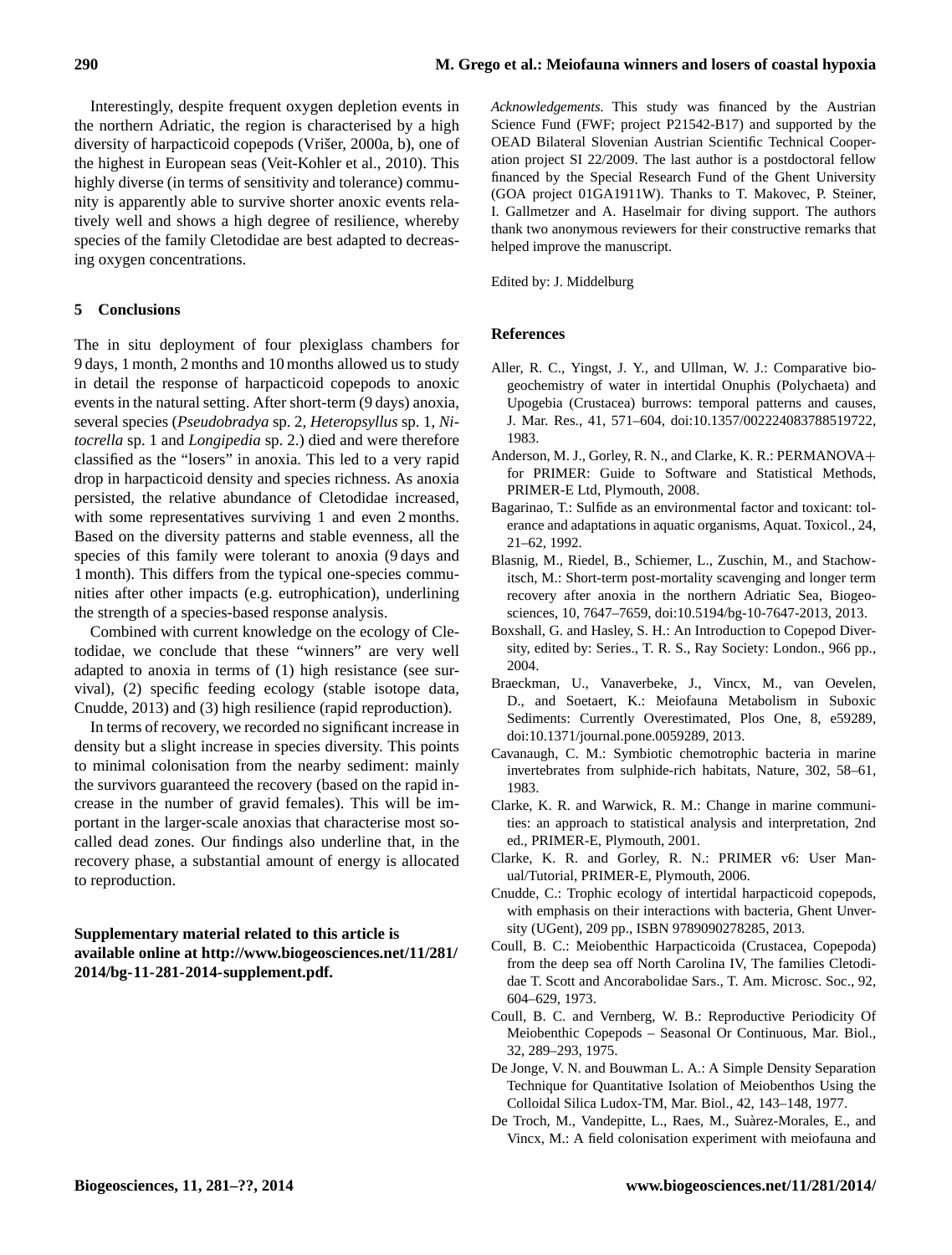Interestingly, despite frequent oxygen depletion events in the northern Adriatic, the region is characterised by a high diversity of harpacticoid copepods (Vrišer, 2000a, b), one of the highest in European seas (Veit-Kohler et al., 2010). This highly diverse (in terms of sensitivity and tolerance) community is apparently able to survive shorter anoxic events relatively well and shows a high degree of resilience, whereby species of the family Cletodidae are best adapted to decreasing oxygen concentrations.

# **5 Conclusions**

The in situ deployment of four plexiglass chambers for 9 days, 1 month, 2 months and 10 months allowed us to study in detail the response of harpacticoid copepods to anoxic events in the natural setting. After short-term (9 days) anoxia, several species (*Pseudobradya* sp. 2, *Heteropsyllus* sp. 1, *Nitocrella* sp. 1 and *Longipedia* sp. 2.) died and were therefore classified as the "losers" in anoxia. This led to a very rapid drop in harpacticoid density and species richness. As anoxia persisted, the relative abundance of Cletodidae increased, with some representatives surviving 1 and even 2 months. Based on the diversity patterns and stable evenness, all the species of this family were tolerant to anoxia (9 days and 1 month). This differs from the typical one-species communities after other impacts (e.g. eutrophication), underlining the strength of a species-based response analysis.

Combined with current knowledge on the ecology of Cletodidae, we conclude that these "winners" are very well adapted to anoxia in terms of (1) high resistance (see survival), (2) specific feeding ecology (stable isotope data, Cnudde, 2013) and (3) high resilience (rapid reproduction).

In terms of recovery, we recorded no significant increase in density but a slight increase in species diversity. This points to minimal colonisation from the nearby sediment: mainly the survivors guaranteed the recovery (based on the rapid increase in the number of gravid females). This will be important in the larger-scale anoxias that characterise most socalled dead zones. Our findings also underline that, in the recovery phase, a substantial amount of energy is allocated to reproduction.

# **Supplementary material related to this article is available online at [http://www.biogeosciences.net/11/281/](http://www.biogeosciences.net/11/281/2014/bg-11-281-2014-supplement.pdf) [2014/bg-11-281-2014-supplement.pdf.](http://www.biogeosciences.net/11/281/2014/bg-11-281-2014-supplement.pdf)**

*Acknowledgements.* This study was financed by the Austrian Science Fund (FWF; project P21542-B17) and supported by the OEAD Bilateral Slovenian Austrian Scientific Technical Cooperation project SI 22/2009. The last author is a postdoctoral fellow financed by the Special Research Fund of the Ghent University (GOA project 01GA1911W). Thanks to T. Makovec, P. Steiner, I. Gallmetzer and A. Haselmair for diving support. The authors thank two anonymous reviewers for their constructive remarks that helped improve the manuscript.

Edited by: J. Middelburg

#### **References**

- Aller, R. C., Yingst, J. Y., and Ullman, W. J.: Comparative biogeochemistry of water in intertidal Onuphis (Polychaeta) and Upogebia (Crustacea) burrows: temporal patterns and causes, J. Mar. Res., 41, 571–604, doi[:10.1357/002224083788519722,](http://dx.doi.org/10.1357/002224083788519722) 1983.
- Anderson, M. J., Gorley, R. N., and Clarke, K. R.: PERMANOVA+ for PRIMER: Guide to Software and Statistical Methods, PRIMER-E Ltd, Plymouth, 2008.
- Bagarinao, T.: Sulfide as an environmental factor and toxicant: tolerance and adaptations in aquatic organisms, Aquat. Toxicol., 24, 21–62, 1992.
- Blasnig, M., Riedel, B., Schiemer, L., Zuschin, M., and Stachowitsch, M.: Short-term post-mortality scavenging and longer term recovery after anoxia in the northern Adriatic Sea, Biogeosciences, 10, 7647–7659, doi[:10.5194/bg-10-7647-2013,](http://dx.doi.org/10.5194/bg-10-7647-2013) 2013.
- Boxshall, G. and Hasley, S. H.: An Introduction to Copepod Diversity, edited by: Series., T. R. S., Ray Society: London., 966 pp., 2004.
- Braeckman, U., Vanaverbeke, J., Vincx, M., van Oevelen, D., and Soetaert, K.: Meiofauna Metabolism in Suboxic Sediments: Currently Overestimated, Plos One, 8, e59289, doi[:10.1371/journal.pone.0059289,](http://dx.doi.org/10.1371/journal.pone.0059289) 2013.
- Cavanaugh, C. M.: Symbiotic chemotrophic bacteria in marine invertebrates from sulphide-rich habitats, Nature, 302, 58–61, 1983.
- Clarke, K. R. and Warwick, R. M.: Change in marine communities: an approach to statistical analysis and interpretation, 2nd ed., PRIMER-E, Plymouth, 2001.
- Clarke, K. R. and Gorley, R. N.: PRIMER v6: User Manual/Tutorial, PRIMER-E, Plymouth, 2006.
- Cnudde, C.: Trophic ecology of intertidal harpacticoid copepods, with emphasis on their interactions with bacteria, Ghent Unversity (UGent), 209 pp., ISBN 9789090278285, 2013.
- Coull, B. C.: Meiobenthic Harpacticoida (Crustacea, Copepoda) from the deep sea off North Carolina IV, The families Cletodidae T. Scott and Ancorabolidae Sars., T. Am. Microsc. Soc., 92, 604–629, 1973.
- Coull, B. C. and Vernberg, W. B.: Reproductive Periodicity Of Meiobenthic Copepods – Seasonal Or Continuous, Mar. Biol., 32, 289–293, 1975.
- De Jonge, V. N. and Bouwman L. A.: A Simple Density Separation Technique for Quantitative Isolation of Meiobenthos Using the Colloidal Silica Ludox-TM, Mar. Biol., 42, 143–148, 1977.
- De Troch, M., Vandepitte, L., Raes, M., Suàrez-Morales, E., and Vincx, M.: A field colonisation experiment with meiofauna and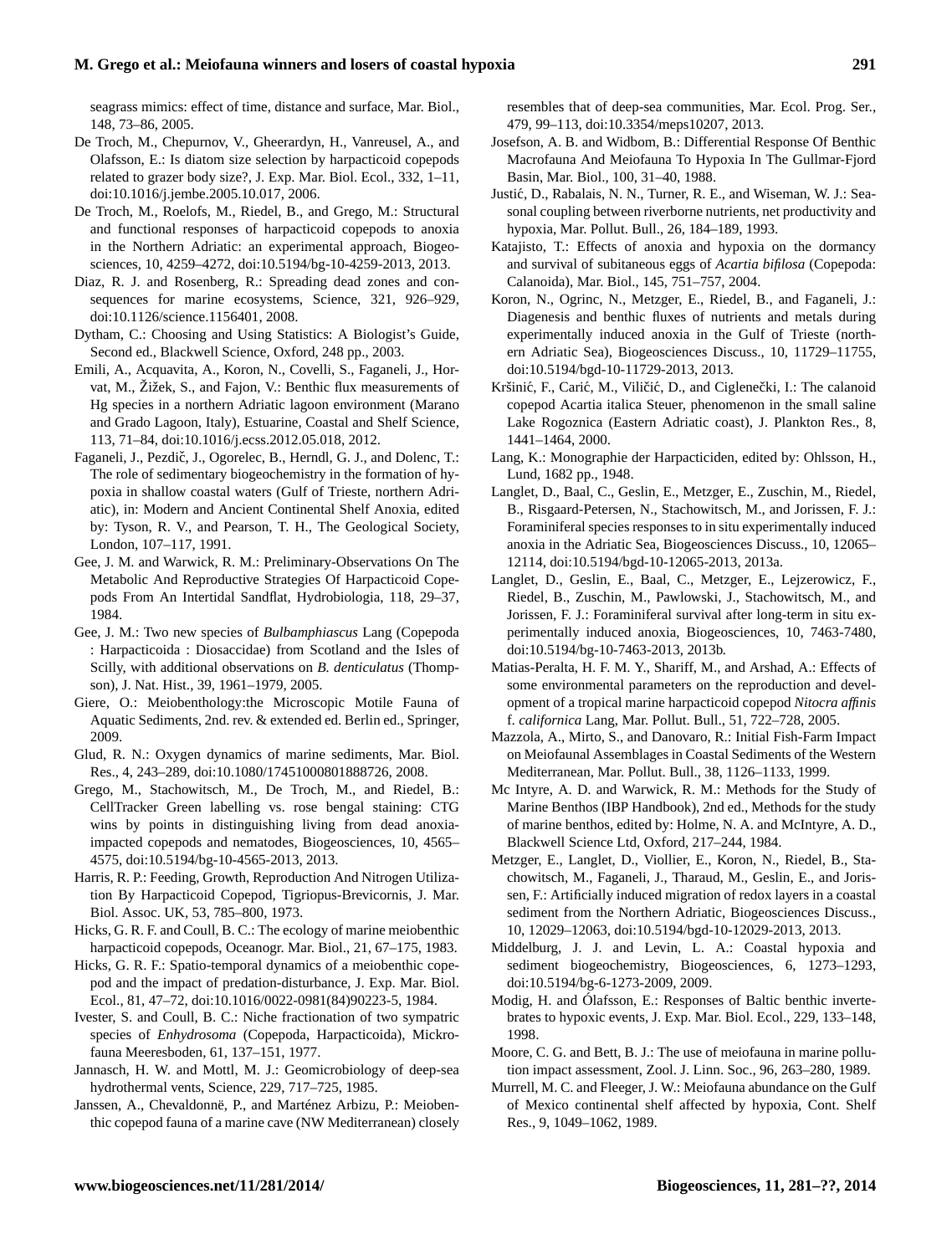# **M. Grego et al.: Meiofauna winners and losers of coastal hypoxia 291**

seagrass mimics: effect of time, distance and surface, Mar. Biol., 148, 73–86, 2005.

- De Troch, M., Chepurnov, V., Gheerardyn, H., Vanreusel, A., and Olafsson, E.: Is diatom size selection by harpacticoid copepods related to grazer body size?, J. Exp. Mar. Biol. Ecol., 332, 1–11, doi[:10.1016/j.jembe.2005.10.017,](http://dx.doi.org/10.1016/j.jembe.2005.10.017) 2006.
- De Troch, M., Roelofs, M., Riedel, B., and Grego, M.: Structural and functional responses of harpacticoid copepods to anoxia in the Northern Adriatic: an experimental approach, Biogeosciences, 10, 4259–4272, doi[:10.5194/bg-10-4259-2013,](http://dx.doi.org/10.5194/bg-10-4259-2013) 2013.
- Diaz, R. J. and Rosenberg, R.: Spreading dead zones and consequences for marine ecosystems, Science, 321, 926–929, doi[:10.1126/science.1156401,](http://dx.doi.org/10.1126/science.1156401) 2008.
- Dytham, C.: Choosing and Using Statistics: A Biologist's Guide, Second ed., Blackwell Science, Oxford, 248 pp., 2003.
- Emili, A., Acquavita, A., Koron, N., Covelli, S., Faganeli, J., Horvat, M., Žižek, S., and Fajon, V.: Benthic flux measurements of Hg species in a northern Adriatic lagoon environment (Marano and Grado Lagoon, Italy), Estuarine, Coastal and Shelf Science, 113, 71–84, doi[:10.1016/j.ecss.2012.05.018,](http://dx.doi.org/10.1016/j.ecss.2012.05.018) 2012.
- Faganeli, J., Pezdič, J., Ogorelec, B., Herndl, G. J., and Dolenc, T.: The role of sedimentary biogeochemistry in the formation of hypoxia in shallow coastal waters (Gulf of Trieste, northern Adriatic), in: Modern and Ancient Continental Shelf Anoxia, edited by: Tyson, R. V., and Pearson, T. H., The Geological Society, London, 107–117, 1991.
- Gee, J. M. and Warwick, R. M.: Preliminary-Observations On The Metabolic And Reproductive Strategies Of Harpacticoid Copepods From An Intertidal Sandflat, Hydrobiologia, 118, 29–37, 1984.
- Gee, J. M.: Two new species of *Bulbamphiascus* Lang (Copepoda : Harpacticoida : Diosaccidae) from Scotland and the Isles of Scilly, with additional observations on *B. denticulatus* (Thompson), J. Nat. Hist., 39, 1961–1979, 2005.
- Giere, O.: Meiobenthology:the Microscopic Motile Fauna of Aquatic Sediments, 2nd. rev. & extended ed. Berlin ed., Springer, 2009.
- Glud, R. N.: Oxygen dynamics of marine sediments, Mar. Biol. Res., 4, 243–289, doi[:10.1080/17451000801888726,](http://dx.doi.org/10.1080/17451000801888726) 2008.
- Grego, M., Stachowitsch, M., De Troch, M., and Riedel, B.: CellTracker Green labelling vs. rose bengal staining: CTG wins by points in distinguishing living from dead anoxiaimpacted copepods and nematodes, Biogeosciences, 10, 4565– 4575, doi[:10.5194/bg-10-4565-2013,](http://dx.doi.org/10.5194/bg-10-4565-2013) 2013.
- Harris, R. P.: Feeding, Growth, Reproduction And Nitrogen Utilization By Harpacticoid Copepod, Tigriopus-Brevicornis, J. Mar. Biol. Assoc. UK, 53, 785–800, 1973.
- Hicks, G. R. F. and Coull, B. C.: The ecology of marine meiobenthic harpacticoid copepods, Oceanogr. Mar. Biol., 21, 67–175, 1983.
- Hicks, G. R. F.: Spatio-temporal dynamics of a meiobenthic copepod and the impact of predation-disturbance, J. Exp. Mar. Biol. Ecol., 81, 47–72, doi[:10.1016/0022-0981\(84\)90223-5,](http://dx.doi.org/10.1016/0022-0981(84)90223-5) 1984.
- Ivester, S. and Coull, B. C.: Niche fractionation of two sympatric species of *Enhydrosoma* (Copepoda, Harpacticoida), Mickrofauna Meeresboden, 61, 137–151, 1977.
- Jannasch, H. W. and Mottl, M. J.: Geomicrobiology of deep-sea hydrothermal vents, Science, 229, 717–725, 1985.
- Janssen, A., Chevaldonnë, P., and Marténez Arbizu, P.: Meiobenthic copepod fauna of a marine cave (NW Mediterranean) closely

resembles that of deep-sea communities, Mar. Ecol. Prog. Ser., 479, 99–113, doi[:10.3354/meps10207,](http://dx.doi.org/10.3354/meps10207) 2013.

- Josefson, A. B. and Widbom, B.: Differential Response Of Benthic Macrofauna And Meiofauna To Hypoxia In The Gullmar-Fjord Basin, Mar. Biol., 100, 31–40, 1988.
- Justic, D., Rabalais, N. N., Turner, R. E., and Wiseman, W. J.: Sea- ´ sonal coupling between riverborne nutrients, net productivity and hypoxia, Mar. Pollut. Bull., 26, 184–189, 1993.
- Katajisto, T.: Effects of anoxia and hypoxia on the dormancy and survival of subitaneous eggs of *Acartia bifilosa* (Copepoda: Calanoida), Mar. Biol., 145, 751–757, 2004.
- Koron, N., Ogrinc, N., Metzger, E., Riedel, B., and Faganeli, J.: Diagenesis and benthic fluxes of nutrients and metals during experimentally induced anoxia in the Gulf of Trieste (northern Adriatic Sea), Biogeosciences Discuss., 10, 11729–11755, doi[:10.5194/bgd-10-11729-2013,](http://dx.doi.org/10.5194/bgd-10-11729-2013) 2013.
- Kršinić, F., Carić, M., Viličić, D., and Ciglenečki, I.: The calanoid copepod Acartia italica Steuer, phenomenon in the small saline Lake Rogoznica (Eastern Adriatic coast), J. Plankton Res., 8, 1441–1464, 2000.
- Lang, K.: Monographie der Harpacticiden, edited by: Ohlsson, H., Lund, 1682 pp., 1948.
- Langlet, D., Baal, C., Geslin, E., Metzger, E., Zuschin, M., Riedel, B., Risgaard-Petersen, N., Stachowitsch, M., and Jorissen, F. J.: Foraminiferal species responses to in situ experimentally induced anoxia in the Adriatic Sea, Biogeosciences Discuss., 10, 12065– 12114, doi[:10.5194/bgd-10-12065-2013,](http://dx.doi.org/10.5194/bgd-10-12065-2013) 2013a.
- Langlet, D., Geslin, E., Baal, C., Metzger, E., Lejzerowicz, F., Riedel, B., Zuschin, M., Pawlowski, J., Stachowitsch, M., and Jorissen, F. J.: Foraminiferal survival after long-term in situ experimentally induced anoxia, Biogeosciences, 10, 7463-7480, doi[:10.5194/bg-10-7463-2013,](http://dx.doi.org/10.5194/bg-10-7463-2013) 2013b.
- Matias-Peralta, H. F. M. Y., Shariff, M., and Arshad, A.: Effects of some environmental parameters on the reproduction and development of a tropical marine harpacticoid copepod *Nitocra affinis* f. *californica* Lang, Mar. Pollut. Bull., 51, 722–728, 2005.
- Mazzola, A., Mirto, S., and Danovaro, R.: Initial Fish-Farm Impact on Meiofaunal Assemblages in Coastal Sediments of the Western Mediterranean, Mar. Pollut. Bull., 38, 1126–1133, 1999.
- Mc Intyre, A. D. and Warwick, R. M.: Methods for the Study of Marine Benthos (IBP Handbook), 2nd ed., Methods for the study of marine benthos, edited by: Holme, N. A. and McIntyre, A. D., Blackwell Science Ltd, Oxford, 217–244, 1984.
- Metzger, E., Langlet, D., Viollier, E., Koron, N., Riedel, B., Stachowitsch, M., Faganeli, J., Tharaud, M., Geslin, E., and Jorissen, F.: Artificially induced migration of redox layers in a coastal sediment from the Northern Adriatic, Biogeosciences Discuss., 10, 12029–12063, doi[:10.5194/bgd-10-12029-2013,](http://dx.doi.org/10.5194/bgd-10-12029-2013) 2013.
- Middelburg, J. J. and Levin, L. A.: Coastal hypoxia and sediment biogeochemistry, Biogeosciences, 6, 1273–1293, doi[:10.5194/bg-6-1273-2009,](http://dx.doi.org/10.5194/bg-6-1273-2009) 2009.
- Modig, H. and Ólafsson, E.: Responses of Baltic benthic invertebrates to hypoxic events, J. Exp. Mar. Biol. Ecol., 229, 133–148, 1998.
- Moore, C. G. and Bett, B. J.: The use of meiofauna in marine pollution impact assessment, Zool. J. Linn. Soc., 96, 263–280, 1989.
- Murrell, M. C. and Fleeger, J. W.: Meiofauna abundance on the Gulf of Mexico continental shelf affected by hypoxia, Cont. Shelf Res., 9, 1049–1062, 1989.